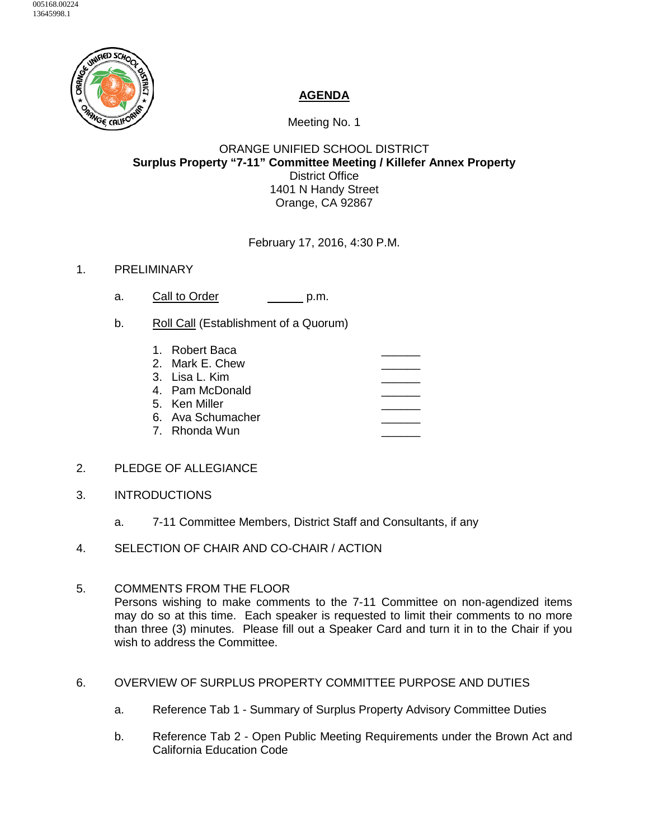

## **AGENDA**

Meeting No. 1

## ORANGE UNIFIED SCHOOL DISTRICT **Surplus Property "7-11" Committee Meeting / Killefer Annex Property** District Office 1401 N Handy Street Orange, CA 92867

February 17, 2016, 4:30 P.M.

## 1. PRELIMINARY

- a. Call to Order p.m.
- b. Roll Call (Establishment of a Quorum)
	- 1. Robert Baca 2. Mark E. Chew 3. Lisa L. Kim 4. Pam McDonald 5. Ken Miller 6. Ava Schumacher 7. Rhonda Wun

## 2. PLEDGE OF ALLEGIANCE

- 3. INTRODUCTIONS
	- a. 7-11 Committee Members, District Staff and Consultants, if any
- 4. SELECTION OF CHAIR AND CO-CHAIR / ACTION
- 5. COMMENTS FROM THE FLOOR Persons wishing to make comments to the 7-11 Committee on non-agendized items may do so at this time. Each speaker is requested to limit their comments to no more than three (3) minutes. Please fill out a Speaker Card and turn it in to the Chair if you wish to address the Committee.
- 6. OVERVIEW OF SURPLUS PROPERTY COMMITTEE PURPOSE AND DUTIES
	- a. Reference Tab 1 Summary of Surplus Property Advisory Committee Duties
	- b. Reference Tab 2 Open Public Meeting Requirements under the Brown Act and California Education Code